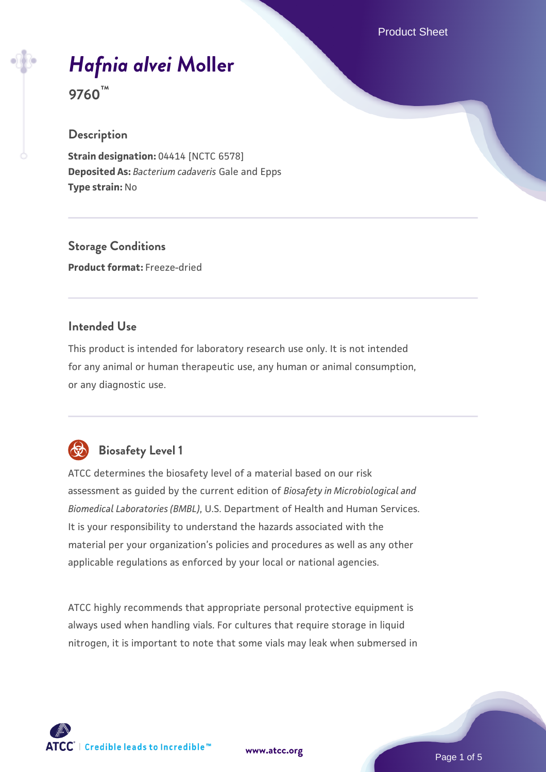Product Sheet

# *[Hafnia alvei](https://www.atcc.org/products/9760)* **[Moller](https://www.atcc.org/products/9760)**

**9760™**

# **Description**

**Strain designation: 04414 [NCTC 6578] Deposited As:** *Bacterium cadaveris* Gale and Epps **Type strain:** No

**Storage Conditions Product format:** Freeze-dried

# **Intended Use**

This product is intended for laboratory research use only. It is not intended for any animal or human therapeutic use, any human or animal consumption, or any diagnostic use.



# **Biosafety Level 1**

ATCC determines the biosafety level of a material based on our risk assessment as guided by the current edition of *Biosafety in Microbiological and Biomedical Laboratories (BMBL)*, U.S. Department of Health and Human Services. It is your responsibility to understand the hazards associated with the material per your organization's policies and procedures as well as any other applicable regulations as enforced by your local or national agencies.

ATCC highly recommends that appropriate personal protective equipment is always used when handling vials. For cultures that require storage in liquid nitrogen, it is important to note that some vials may leak when submersed in

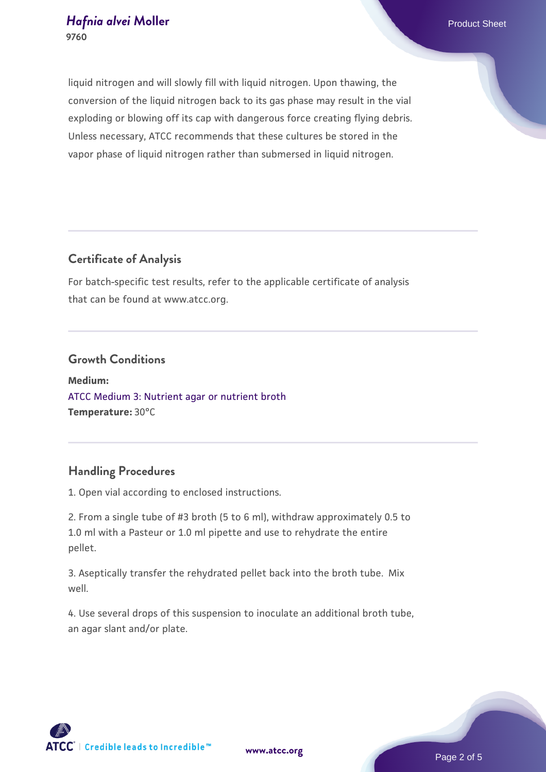liquid nitrogen and will slowly fill with liquid nitrogen. Upon thawing, the conversion of the liquid nitrogen back to its gas phase may result in the vial exploding or blowing off its cap with dangerous force creating flying debris. Unless necessary, ATCC recommends that these cultures be stored in the vapor phase of liquid nitrogen rather than submersed in liquid nitrogen.

# **Certificate of Analysis**

For batch-specific test results, refer to the applicable certificate of analysis that can be found at www.atcc.org.

# **Growth Conditions**

**Medium:**  [ATCC Medium 3: Nutrient agar or nutrient broth](https://www.atcc.org/-/media/product-assets/documents/microbial-media-formulations/3/atcc-medium-3.pdf?rev=7510837507e64d849c62a46b5b2197a1) **Temperature:** 30°C

# **Handling Procedures**

1. Open vial according to enclosed instructions.

2. From a single tube of #3 broth (5 to 6 ml), withdraw approximately 0.5 to 1.0 ml with a Pasteur or 1.0 ml pipette and use to rehydrate the entire pellet.

3. Aseptically transfer the rehydrated pellet back into the broth tube. Mix well.

4. Use several drops of this suspension to inoculate an additional broth tube, an agar slant and/or plate.



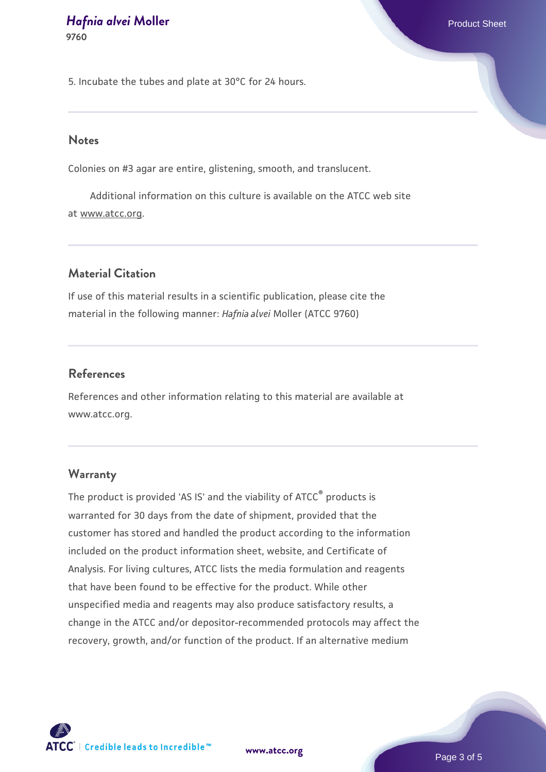5. Incubate the tubes and plate at 30°C for 24 hours.

#### **Notes**

Colonies on #3 agar are entire, glistening, smooth, and translucent.

 Additional information on this culture is available on the ATCC web site at www.atcc.org.

# **Material Citation**

If use of this material results in a scientific publication, please cite the material in the following manner: *Hafnia alvei* Moller (ATCC 9760)

## **References**

References and other information relating to this material are available at www.atcc.org.

## **Warranty**

The product is provided 'AS IS' and the viability of ATCC® products is warranted for 30 days from the date of shipment, provided that the customer has stored and handled the product according to the information included on the product information sheet, website, and Certificate of Analysis. For living cultures, ATCC lists the media formulation and reagents that have been found to be effective for the product. While other unspecified media and reagents may also produce satisfactory results, a change in the ATCC and/or depositor-recommended protocols may affect the recovery, growth, and/or function of the product. If an alternative medium



**[www.atcc.org](http://www.atcc.org)**

Page 3 of 5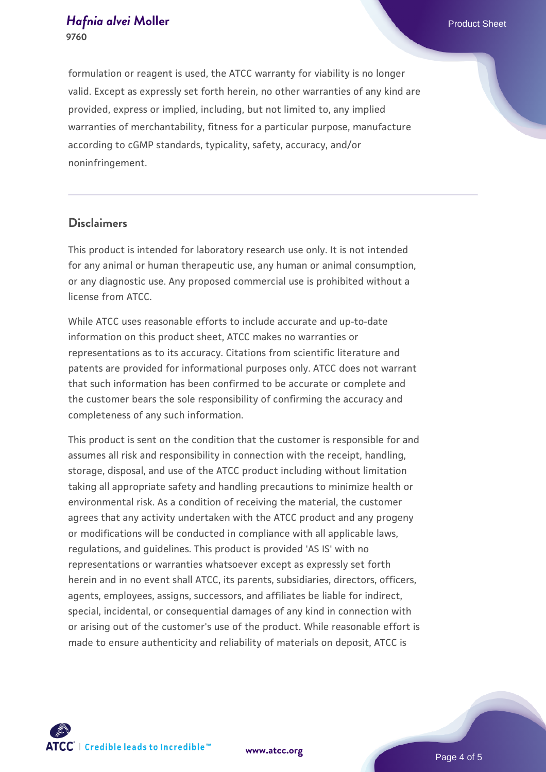formulation or reagent is used, the ATCC warranty for viability is no longer valid. Except as expressly set forth herein, no other warranties of any kind are provided, express or implied, including, but not limited to, any implied warranties of merchantability, fitness for a particular purpose, manufacture according to cGMP standards, typicality, safety, accuracy, and/or noninfringement.

# **Disclaimers**

This product is intended for laboratory research use only. It is not intended for any animal or human therapeutic use, any human or animal consumption, or any diagnostic use. Any proposed commercial use is prohibited without a license from ATCC.

While ATCC uses reasonable efforts to include accurate and up-to-date information on this product sheet, ATCC makes no warranties or representations as to its accuracy. Citations from scientific literature and patents are provided for informational purposes only. ATCC does not warrant that such information has been confirmed to be accurate or complete and the customer bears the sole responsibility of confirming the accuracy and completeness of any such information.

This product is sent on the condition that the customer is responsible for and assumes all risk and responsibility in connection with the receipt, handling, storage, disposal, and use of the ATCC product including without limitation taking all appropriate safety and handling precautions to minimize health or environmental risk. As a condition of receiving the material, the customer agrees that any activity undertaken with the ATCC product and any progeny or modifications will be conducted in compliance with all applicable laws, regulations, and guidelines. This product is provided 'AS IS' with no representations or warranties whatsoever except as expressly set forth herein and in no event shall ATCC, its parents, subsidiaries, directors, officers, agents, employees, assigns, successors, and affiliates be liable for indirect, special, incidental, or consequential damages of any kind in connection with or arising out of the customer's use of the product. While reasonable effort is made to ensure authenticity and reliability of materials on deposit, ATCC is